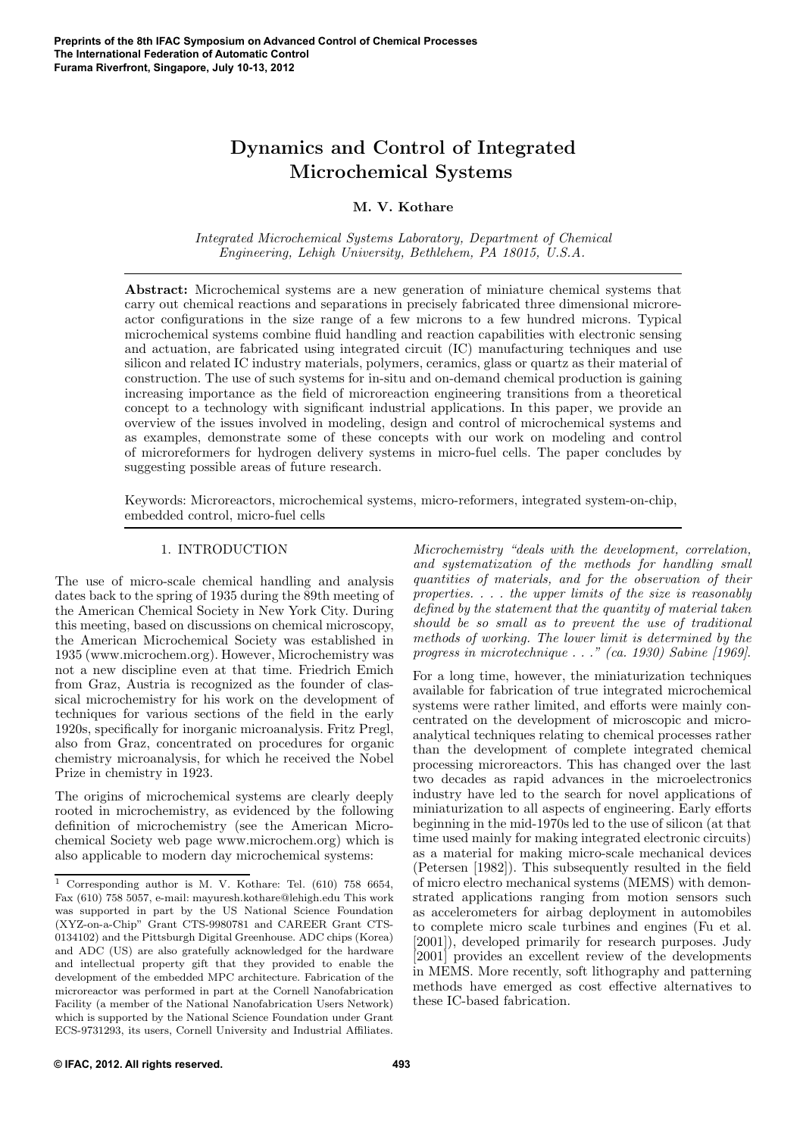# Dynamics and Control of Integrated Microchemical Systems

## M. V. Kothare

Integrated Microchemical Systems Laboratory, Department of Chemical Engineering, Lehigh University, Bethlehem, PA 18015, U.S.A.

Abstract: Microchemical systems are a new generation of miniature chemical systems that carry out chemical reactions and separations in precisely fabricated three dimensional microreactor configurations in the size range of a few microns to a few hundred microns. Typical microchemical systems combine fluid handling and reaction capabilities with electronic sensing and actuation, are fabricated using integrated circuit (IC) manufacturing techniques and use silicon and related IC industry materials, polymers, ceramics, glass or quartz as their material of construction. The use of such systems for in-situ and on-demand chemical production is gaining increasing importance as the field of microreaction engineering transitions from a theoretical concept to a technology with significant industrial applications. In this paper, we provide an overview of the issues involved in modeling, design and control of microchemical systems and as examples, demonstrate some of these concepts with our work on modeling and control of microreformers for hydrogen delivery systems in micro-fuel cells. The paper concludes by suggesting possible areas of future research.

Keywords: Microreactors, microchemical systems, micro-reformers, integrated system-on-chip, embedded control, micro-fuel cells

#### 1. INTRODUCTION

The use of micro-scale chemical handling and analysis dates back to the spring of 1935 during the 89th meeting of the American Chemical Society in New York City. During this meeting, based on discussions on chemical microscopy, the American Microchemical Society was established in 1935 (www.microchem.org). However, Microchemistry was not a new discipline even at that time. Friedrich Emich from Graz, Austria is recognized as the founder of classical microchemistry for his work on the development of techniques for various sections of the field in the early 1920s, specifically for inorganic microanalysis. Fritz Pregl, also from Graz, concentrated on procedures for organic chemistry microanalysis, for which he received the Nobel Prize in chemistry in 1923.

The origins of microchemical systems are clearly deeply rooted in microchemistry, as evidenced by the following definition of microchemistry (see the American Microchemical Society web page www.microchem.org) which is also applicable to modern day microchemical systems:

Microchemistry "deals with the development, correlation, and systematization of the methods for handling small quantities of materials, and for the observation of their properties. . . . the upper limits of the size is reasonably defined by the statement that the quantity of material taken should be so small as to prevent the use of traditional methods of working. The lower limit is determined by the progress in microtechnique . . ." (ca. 1930) Sabine [1969].

For a long time, however, the miniaturization techniques available for fabrication of true integrated microchemical systems were rather limited, and efforts were mainly concentrated on the development of microscopic and microanalytical techniques relating to chemical processes rather than the development of complete integrated chemical processing microreactors. This has changed over the last two decades as rapid advances in the microelectronics industry have led to the search for novel applications of miniaturization to all aspects of engineering. Early efforts beginning in the mid-1970s led to the use of silicon (at that time used mainly for making integrated electronic circuits) as a material for making micro-scale mechanical devices (Petersen [1982]). This subsequently resulted in the field of micro electro mechanical systems (MEMS) with demonstrated applications ranging from motion sensors such as accelerometers for airbag deployment in automobiles to complete micro scale turbines and engines (Fu et al. [2001]), developed primarily for research purposes. Judy [2001] provides an excellent review of the developments in MEMS. More recently, soft lithography and patterning methods have emerged as cost effective alternatives to these IC-based fabrication.

 $\overline{1}$  Corresponding author is M. V. Kothare: Tel. (610) 758 6654, Fax (610) 758 5057, e-mail: mayuresh.kothare@lehigh.edu This work was supported in part by the US National Science Foundation (XYZ-on-a-Chip" Grant CTS-9980781 and CAREER Grant CTS-0134102) and the Pittsburgh Digital Greenhouse. ADC chips (Korea) and ADC (US) are also gratefully acknowledged for the hardware and intellectual property gift that they provided to enable the development of the embedded MPC architecture. Fabrication of the microreactor was performed in part at the Cornell Nanofabrication Facility (a member of the National Nanofabrication Users Network) which is supported by the National Science Foundation under Grant ECS-9731293, its users, Cornell University and Industrial Affiliates.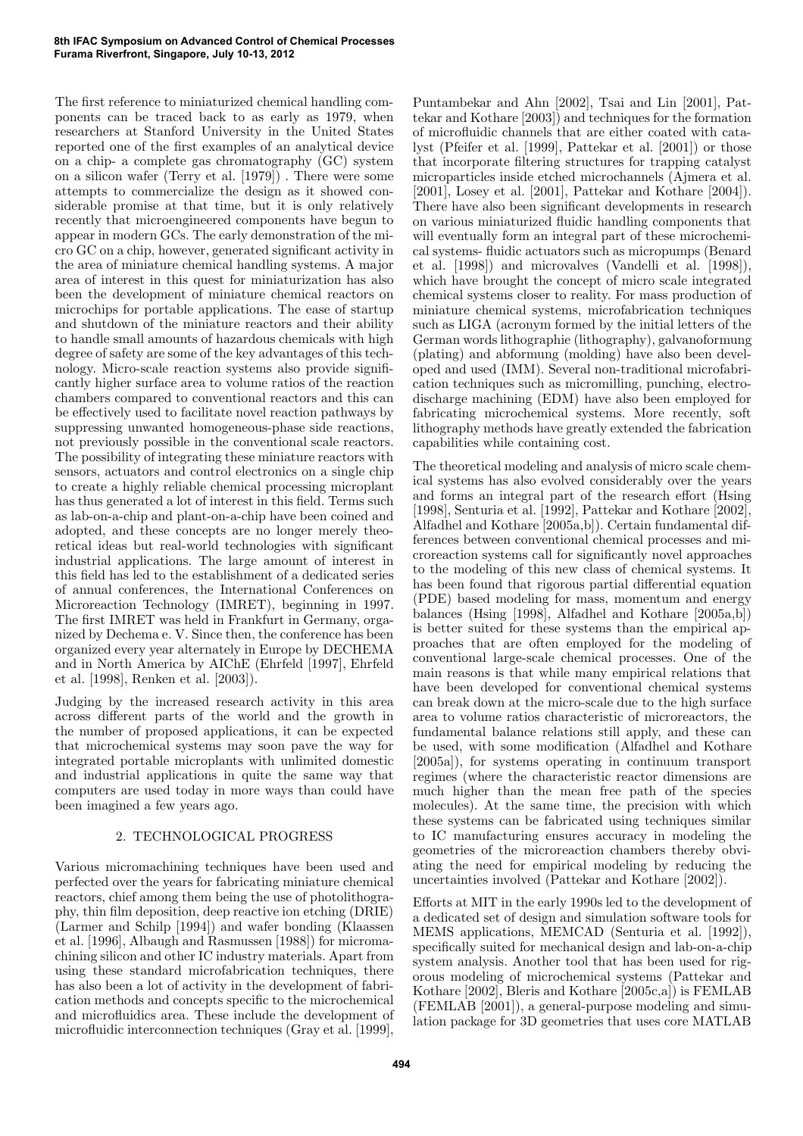The first reference to miniaturized chemical handling components can be traced back to as early as 1979, when researchers at Stanford University in the United States reported one of the first examples of an analytical device on a chip- a complete gas chromatography (GC) system on a silicon wafer (Terry et al. [1979]) . There were some attempts to commercialize the design as it showed considerable promise at that time, but it is only relatively recently that microengineered components have begun to appear in modern GCs. The early demonstration of the micro GC on a chip, however, generated significant activity in the area of miniature chemical handling systems. A major area of interest in this quest for miniaturization has also been the development of miniature chemical reactors on microchips for portable applications. The ease of startup and shutdown of the miniature reactors and their ability to handle small amounts of hazardous chemicals with high degree of safety are some of the key advantages of this technology. Micro-scale reaction systems also provide significantly higher surface area to volume ratios of the reaction chambers compared to conventional reactors and this can be effectively used to facilitate novel reaction pathways by suppressing unwanted homogeneous-phase side reactions, not previously possible in the conventional scale reactors. The possibility of integrating these miniature reactors with sensors, actuators and control electronics on a single chip to create a highly reliable chemical processing microplant has thus generated a lot of interest in this field. Terms such as lab-on-a-chip and plant-on-a-chip have been coined and adopted, and these concepts are no longer merely theoretical ideas but real-world technologies with significant industrial applications. The large amount of interest in this field has led to the establishment of a dedicated series of annual conferences, the International Conferences on Microreaction Technology (IMRET), beginning in 1997. The first IMRET was held in Frankfurt in Germany, organized by Dechema e. V. Since then, the conference has been organized every year alternately in Europe by DECHEMA and in North America by AIChE (Ehrfeld [1997], Ehrfeld et al. [1998], Renken et al. [2003]).

Judging by the increased research activity in this area across different parts of the world and the growth in the number of proposed applications, it can be expected that microchemical systems may soon pave the way for integrated portable microplants with unlimited domestic and industrial applications in quite the same way that computers are used today in more ways than could have been imagined a few years ago.

# 2. TECHNOLOGICAL PROGRESS

Various micromachining techniques have been used and perfected over the years for fabricating miniature chemical reactors, chief among them being the use of photolithography, thin film deposition, deep reactive ion etching (DRIE) (Larmer and Schilp [1994]) and wafer bonding (Klaassen et al. [1996], Albaugh and Rasmussen [1988]) for micromachining silicon and other IC industry materials. Apart from using these standard microfabrication techniques, there has also been a lot of activity in the development of fabrication methods and concepts specific to the microchemical and microfluidics area. These include the development of microfluidic interconnection techniques (Gray et al. [1999],

Puntambekar and Ahn [2002], Tsai and Lin [2001], Pattekar and Kothare [2003]) and techniques for the formation of microfluidic channels that are either coated with catalyst (Pfeifer et al. [1999], Pattekar et al. [2001]) or those that incorporate filtering structures for trapping catalyst microparticles inside etched microchannels (Ajmera et al. [2001], Losey et al. [2001], Pattekar and Kothare [2004]). There have also been significant developments in research on various miniaturized fluidic handling components that will eventually form an integral part of these microchemical systems- fluidic actuators such as micropumps (Benard et al. [1998]) and microvalves (Vandelli et al. [1998]), which have brought the concept of micro scale integrated chemical systems closer to reality. For mass production of miniature chemical systems, microfabrication techniques such as LIGA (acronym formed by the initial letters of the German words lithographie (lithography), galvanoformung (plating) and abformung (molding) have also been developed and used (IMM). Several non-traditional microfabrication techniques such as micromilling, punching, electrodischarge machining (EDM) have also been employed for fabricating microchemical systems. More recently, soft lithography methods have greatly extended the fabrication capabilities while containing cost.

The theoretical modeling and analysis of micro scale chemical systems has also evolved considerably over the years and forms an integral part of the research effort (Hsing [1998], Senturia et al. [1992], Pattekar and Kothare [2002], Alfadhel and Kothare [2005a,b]). Certain fundamental differences between conventional chemical processes and microreaction systems call for significantly novel approaches to the modeling of this new class of chemical systems. It has been found that rigorous partial differential equation (PDE) based modeling for mass, momentum and energy balances (Hsing [1998], Alfadhel and Kothare [2005a,b]) is better suited for these systems than the empirical approaches that are often employed for the modeling of conventional large-scale chemical processes. One of the main reasons is that while many empirical relations that have been developed for conventional chemical systems can break down at the micro-scale due to the high surface area to volume ratios characteristic of microreactors, the fundamental balance relations still apply, and these can be used, with some modification (Alfadhel and Kothare [2005a]), for systems operating in continuum transport regimes (where the characteristic reactor dimensions are much higher than the mean free path of the species molecules). At the same time, the precision with which these systems can be fabricated using techniques similar to IC manufacturing ensures accuracy in modeling the geometries of the microreaction chambers thereby obviating the need for empirical modeling by reducing the uncertainties involved (Pattekar and Kothare [2002]).

Efforts at MIT in the early 1990s led to the development of a dedicated set of design and simulation software tools for MEMS applications, MEMCAD (Senturia et al. [1992]), specifically suited for mechanical design and lab-on-a-chip system analysis. Another tool that has been used for rigorous modeling of microchemical systems (Pattekar and Kothare [2002], Bleris and Kothare [2005c,a]) is FEMLAB (FEMLAB [2001]), a general-purpose modeling and simulation package for 3D geometries that uses core MATLAB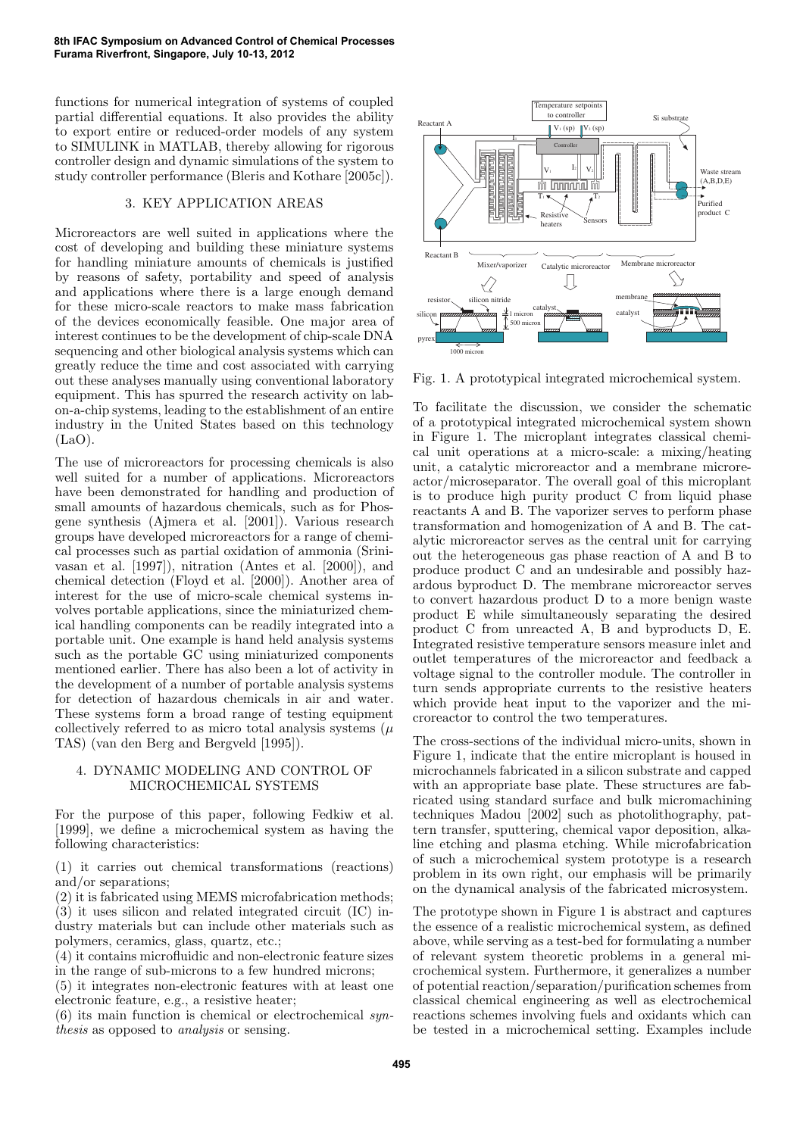functions for numerical integration of systems of coupled partial differential equations. It also provides the ability to export entire or reduced-order models of any system to SIMULINK in MATLAB, thereby allowing for rigorous controller design and dynamic simulations of the system to study controller performance (Bleris and Kothare [2005c]).

#### 3. KEY APPLICATION AREAS

Microreactors are well suited in applications where the cost of developing and building these miniature systems for handling miniature amounts of chemicals is justified by reasons of safety, portability and speed of analysis and applications where there is a large enough demand for these micro-scale reactors to make mass fabrication of the devices economically feasible. One major area of interest continues to be the development of chip-scale DNA sequencing and other biological analysis systems which can greatly reduce the time and cost associated with carrying out these analyses manually using conventional laboratory equipment. This has spurred the research activity on labon-a-chip systems, leading to the establishment of an entire industry in the United States based on this technology  $(LaO)$ .

The use of microreactors for processing chemicals is also well suited for a number of applications. Microreactors have been demonstrated for handling and production of small amounts of hazardous chemicals, such as for Phosgene synthesis (Ajmera et al. [2001]). Various research groups have developed microreactors for a range of chemical processes such as partial oxidation of ammonia (Srinivasan et al. [1997]), nitration (Antes et al. [2000]), and chemical detection (Floyd et al. [2000]). Another area of interest for the use of micro-scale chemical systems involves portable applications, since the miniaturized chemical handling components can be readily integrated into a portable unit. One example is hand held analysis systems such as the portable GC using miniaturized components mentioned earlier. There has also been a lot of activity in the development of a number of portable analysis systems for detection of hazardous chemicals in air and water. These systems form a broad range of testing equipment collectively referred to as micro total analysis systems  $(\mu)$ TAS) (van den Berg and Bergveld [1995]).

## 4. DYNAMIC MODELING AND CONTROL OF MICROCHEMICAL SYSTEMS

For the purpose of this paper, following Fedkiw et al. [1999], we define a microchemical system as having the following characteristics:

(1) it carries out chemical transformations (reactions) and/or separations;

(2) it is fabricated using MEMS microfabrication methods; (3) it uses silicon and related integrated circuit (IC) industry materials but can include other materials such as polymers, ceramics, glass, quartz, etc.;

(4) it contains microfluidic and non-electronic feature sizes in the range of sub-microns to a few hundred microns;

(5) it integrates non-electronic features with at least one electronic feature, e.g., a resistive heater;

 $(6)$  its main function is chemical or electrochemical synthesis as opposed to analysis or sensing.



Fig. 1. A prototypical integrated microchemical system.

To facilitate the discussion, we consider the schematic of a prototypical integrated microchemical system shown in Figure 1. The microplant integrates classical chemical unit operations at a micro-scale: a mixing/heating unit, a catalytic microreactor and a membrane microreactor/microseparator. The overall goal of this microplant is to produce high purity product C from liquid phase reactants A and B. The vaporizer serves to perform phase transformation and homogenization of A and B. The catalytic microreactor serves as the central unit for carrying out the heterogeneous gas phase reaction of A and B to produce product C and an undesirable and possibly hazardous byproduct D. The membrane microreactor serves to convert hazardous product D to a more benign waste product E while simultaneously separating the desired product C from unreacted A, B and byproducts D, E. Integrated resistive temperature sensors measure inlet and outlet temperatures of the microreactor and feedback a voltage signal to the controller module. The controller in turn sends appropriate currents to the resistive heaters which provide heat input to the vaporizer and the microreactor to control the two temperatures.

The cross-sections of the individual micro-units, shown in Figure 1, indicate that the entire microplant is housed in microchannels fabricated in a silicon substrate and capped with an appropriate base plate. These structures are fabricated using standard surface and bulk micromachining techniques Madou [2002] such as photolithography, pattern transfer, sputtering, chemical vapor deposition, alkaline etching and plasma etching. While microfabrication of such a microchemical system prototype is a research problem in its own right, our emphasis will be primarily on the dynamical analysis of the fabricated microsystem.

The prototype shown in Figure 1 is abstract and captures the essence of a realistic microchemical system, as defined above, while serving as a test-bed for formulating a number of relevant system theoretic problems in a general microchemical system. Furthermore, it generalizes a number of potential reaction/separation/purification schemes from classical chemical engineering as well as electrochemical reactions schemes involving fuels and oxidants which can be tested in a microchemical setting. Examples include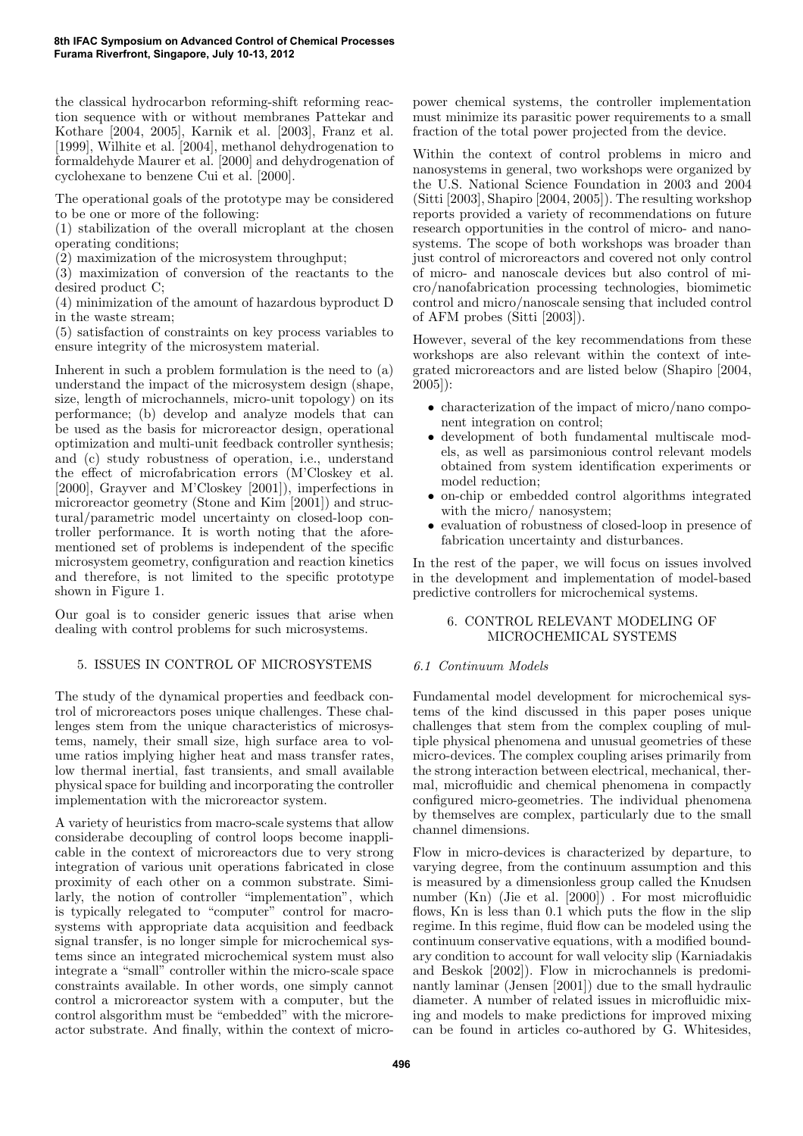the classical hydrocarbon reforming-shift reforming reaction sequence with or without membranes Pattekar and Kothare [2004, 2005], Karnik et al. [2003], Franz et al. [1999], Wilhite et al. [2004], methanol dehydrogenation to formaldehyde Maurer et al. [2000] and dehydrogenation of cyclohexane to benzene Cui et al. [2000].

The operational goals of the prototype may be considered to be one or more of the following:

(1) stabilization of the overall microplant at the chosen operating conditions;

(2) maximization of the microsystem throughput;

(3) maximization of conversion of the reactants to the desired product C;

(4) minimization of the amount of hazardous byproduct D in the waste stream;

(5) satisfaction of constraints on key process variables to ensure integrity of the microsystem material.

Inherent in such a problem formulation is the need to (a) understand the impact of the microsystem design (shape, size, length of microchannels, micro-unit topology) on its performance; (b) develop and analyze models that can be used as the basis for microreactor design, operational optimization and multi-unit feedback controller synthesis; and (c) study robustness of operation, i.e., understand the effect of microfabrication errors (M'Closkey et al. [2000], Grayver and M'Closkey [2001]), imperfections in microreactor geometry (Stone and Kim [2001]) and structural/parametric model uncertainty on closed-loop controller performance. It is worth noting that the aforementioned set of problems is independent of the specific microsystem geometry, configuration and reaction kinetics and therefore, is not limited to the specific prototype shown in Figure 1.

Our goal is to consider generic issues that arise when dealing with control problems for such microsystems.

# 5. ISSUES IN CONTROL OF MICROSYSTEMS

The study of the dynamical properties and feedback control of microreactors poses unique challenges. These challenges stem from the unique characteristics of microsystems, namely, their small size, high surface area to volume ratios implying higher heat and mass transfer rates, low thermal inertial, fast transients, and small available physical space for building and incorporating the controller implementation with the microreactor system.

A variety of heuristics from macro-scale systems that allow considerabe decoupling of control loops become inapplicable in the context of microreactors due to very strong integration of various unit operations fabricated in close proximity of each other on a common substrate. Similarly, the notion of controller "implementation", which is typically relegated to "computer" control for macrosystems with appropriate data acquisition and feedback signal transfer, is no longer simple for microchemical systems since an integrated microchemical system must also integrate a "small" controller within the micro-scale space constraints available. In other words, one simply cannot control a microreactor system with a computer, but the control alsgorithm must be "embedded" with the microreactor substrate. And finally, within the context of micropower chemical systems, the controller implementation must minimize its parasitic power requirements to a small fraction of the total power projected from the device.

Within the context of control problems in micro and nanosystems in general, two workshops were organized by the U.S. National Science Foundation in 2003 and 2004 (Sitti [2003], Shapiro [2004, 2005]). The resulting workshop reports provided a variety of recommendations on future research opportunities in the control of micro- and nanosystems. The scope of both workshops was broader than just control of microreactors and covered not only control of micro- and nanoscale devices but also control of micro/nanofabrication processing technologies, biomimetic control and micro/nanoscale sensing that included control of AFM probes (Sitti [2003]).

However, several of the key recommendations from these workshops are also relevant within the context of integrated microreactors and are listed below (Shapiro [2004, 2005]):

- characterization of the impact of micro/nano component integration on control;
- development of both fundamental multiscale models, as well as parsimonious control relevant models obtained from system identification experiments or model reduction;
- on-chip or embedded control algorithms integrated with the micro/ nanosystem:
- evaluation of robustness of closed-loop in presence of fabrication uncertainty and disturbances.

In the rest of the paper, we will focus on issues involved in the development and implementation of model-based predictive controllers for microchemical systems.

#### 6. CONTROL RELEVANT MODELING OF MICROCHEMICAL SYSTEMS

#### 6.1 Continuum Models

Fundamental model development for microchemical systems of the kind discussed in this paper poses unique challenges that stem from the complex coupling of multiple physical phenomena and unusual geometries of these micro-devices. The complex coupling arises primarily from the strong interaction between electrical, mechanical, thermal, microfluidic and chemical phenomena in compactly configured micro-geometries. The individual phenomena by themselves are complex, particularly due to the small channel dimensions.

Flow in micro-devices is characterized by departure, to varying degree, from the continuum assumption and this is measured by a dimensionless group called the Knudsen number (Kn) (Jie et al. [2000]) . For most microfluidic flows, Kn is less than 0.1 which puts the flow in the slip regime. In this regime, fluid flow can be modeled using the continuum conservative equations, with a modified boundary condition to account for wall velocity slip (Karniadakis and Beskok [2002]). Flow in microchannels is predominantly laminar (Jensen [2001]) due to the small hydraulic diameter. A number of related issues in microfluidic mixing and models to make predictions for improved mixing can be found in articles co-authored by G. Whitesides,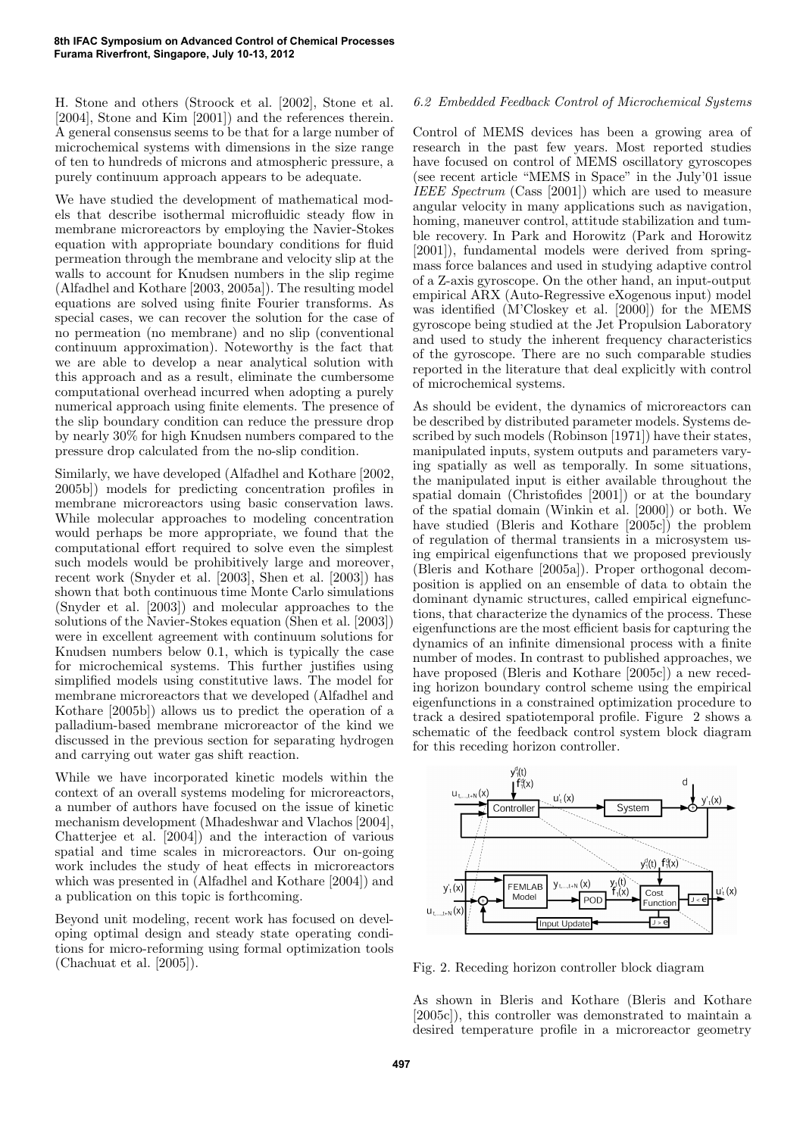H. Stone and others (Stroock et al. [2002], Stone et al. [2004], Stone and Kim [2001]) and the references therein. A general consensus seems to be that for a large number of microchemical systems with dimensions in the size range of ten to hundreds of microns and atmospheric pressure, a purely continuum approach appears to be adequate.

We have studied the development of mathematical models that describe isothermal microfluidic steady flow in membrane microreactors by employing the Navier-Stokes equation with appropriate boundary conditions for fluid permeation through the membrane and velocity slip at the walls to account for Knudsen numbers in the slip regime (Alfadhel and Kothare [2003, 2005a]). The resulting model equations are solved using finite Fourier transforms. As special cases, we can recover the solution for the case of no permeation (no membrane) and no slip (conventional continuum approximation). Noteworthy is the fact that we are able to develop a near analytical solution with this approach and as a result, eliminate the cumbersome computational overhead incurred when adopting a purely numerical approach using finite elements. The presence of the slip boundary condition can reduce the pressure drop by nearly 30% for high Knudsen numbers compared to the pressure drop calculated from the no-slip condition.

Similarly, we have developed (Alfadhel and Kothare [2002, 2005b]) models for predicting concentration profiles in membrane microreactors using basic conservation laws. While molecular approaches to modeling concentration would perhaps be more appropriate, we found that the computational effort required to solve even the simplest such models would be prohibitively large and moreover, recent work (Snyder et al. [2003], Shen et al. [2003]) has shown that both continuous time Monte Carlo simulations (Snyder et al. [2003]) and molecular approaches to the solutions of the Navier-Stokes equation (Shen et al. [2003]) were in excellent agreement with continuum solutions for Knudsen numbers below 0.1, which is typically the case for microchemical systems. This further justifies using simplified models using constitutive laws. The model for membrane microreactors that we developed (Alfadhel and Kothare [2005b]) allows us to predict the operation of a palladium-based membrane microreactor of the kind we discussed in the previous section for separating hydrogen and carrying out water gas shift reaction.

While we have incorporated kinetic models within the context of an overall systems modeling for microreactors, a number of authors have focused on the issue of kinetic mechanism development (Mhadeshwar and Vlachos [2004], Chatterjee et al. [2004]) and the interaction of various spatial and time scales in microreactors. Our on-going work includes the study of heat effects in microreactors which was presented in (Alfadhel and Kothare [2004]) and a publication on this topic is forthcoming.

Beyond unit modeling, recent work has focused on developing optimal design and steady state operating conditions for micro-reforming using formal optimization tools (Chachuat et al. [2005]).

## 6.2 Embedded Feedback Control of Microchemical Systems

Control of MEMS devices has been a growing area of research in the past few years. Most reported studies have focused on control of MEMS oscillatory gyroscopes (see recent article "MEMS in Space" in the July'01 issue IEEE Spectrum (Cass [2001]) which are used to measure angular velocity in many applications such as navigation, homing, maneuver control, attitude stabilization and tumble recovery. In Park and Horowitz (Park and Horowitz [2001]), fundamental models were derived from springmass force balances and used in studying adaptive control of a Z-axis gyroscope. On the other hand, an input-output empirical ARX (Auto-Regressive eXogenous input) model was identified (M'Closkey et al. [2000]) for the MEMS gyroscope being studied at the Jet Propulsion Laboratory and used to study the inherent frequency characteristics of the gyroscope. There are no such comparable studies reported in the literature that deal explicitly with control of microchemical systems.

As should be evident, the dynamics of microreactors can be described by distributed parameter models. Systems described by such models (Robinson [1971]) have their states, manipulated inputs, system outputs and parameters varying spatially as well as temporally. In some situations, the manipulated input is either available throughout the spatial domain (Christofides [2001]) or at the boundary of the spatial domain (Winkin et al. [2000]) or both. We have studied (Bleris and Kothare [2005c]) the problem of regulation of thermal transients in a microsystem using empirical eigenfunctions that we proposed previously (Bleris and Kothare [2005a]). Proper orthogonal decomposition is applied on an ensemble of data to obtain the dominant dynamic structures, called empirical eignefunctions, that characterize the dynamics of the process. These eigenfunctions are the most efficient basis for capturing the dynamics of an infinite dimensional process with a finite number of modes. In contrast to published approaches, we have proposed (Bleris and Kothare [2005c]) a new receding horizon boundary control scheme using the empirical eigenfunctions in a constrained optimization procedure to track a desired spatiotemporal profile. Figure 2 shows a schematic of the feedback control system block diagram for this receding horizon controller.



Fig. 2. Receding horizon controller block diagram

As shown in Bleris and Kothare (Bleris and Kothare [2005c]), this controller was demonstrated to maintain a desired temperature profile in a microreactor geometry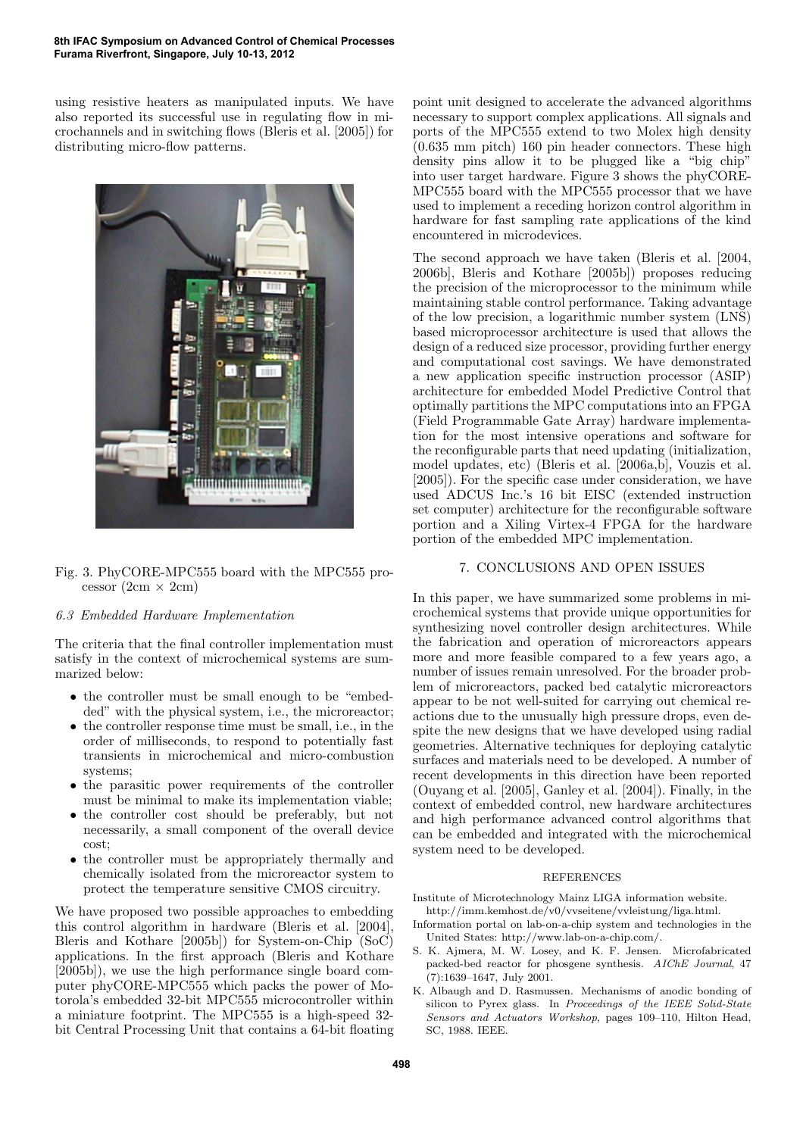using resistive heaters as manipulated inputs. We have also reported its successful use in regulating flow in microchannels and in switching flows (Bleris et al. [2005]) for distributing micro-flow patterns.



Fig. 3. PhyCORE-MPC555 board with the MPC555 processor  $(2cm \times 2cm)$ 

#### 6.3 Embedded Hardware Implementation

The criteria that the final controller implementation must satisfy in the context of microchemical systems are summarized below:

- the controller must be small enough to be "embedded" with the physical system, i.e., the microreactor;
- the controller response time must be small, i.e., in the order of milliseconds, to respond to potentially fast transients in microchemical and micro-combustion systems;
- the parasitic power requirements of the controller must be minimal to make its implementation viable;
- the controller cost should be preferably, but not necessarily, a small component of the overall device cost;
- the controller must be appropriately thermally and chemically isolated from the microreactor system to protect the temperature sensitive CMOS circuitry.

We have proposed two possible approaches to embedding this control algorithm in hardware (Bleris et al. [2004], Bleris and Kothare [2005b]) for System-on-Chip (SoC) applications. In the first approach (Bleris and Kothare [2005b]), we use the high performance single board computer phyCORE-MPC555 which packs the power of Motorola's embedded 32-bit MPC555 microcontroller within a miniature footprint. The MPC555 is a high-speed 32 bit Central Processing Unit that contains a 64-bit floating point unit designed to accelerate the advanced algorithms necessary to support complex applications. All signals and ports of the MPC555 extend to two Molex high density (0.635 mm pitch) 160 pin header connectors. These high density pins allow it to be plugged like a "big chip" into user target hardware. Figure 3 shows the phyCORE-MPC555 board with the MPC555 processor that we have used to implement a receding horizon control algorithm in hardware for fast sampling rate applications of the kind encountered in microdevices.

The second approach we have taken (Bleris et al. [2004, 2006b], Bleris and Kothare [2005b]) proposes reducing the precision of the microprocessor to the minimum while maintaining stable control performance. Taking advantage of the low precision, a logarithmic number system (LNS) based microprocessor architecture is used that allows the design of a reduced size processor, providing further energy and computational cost savings. We have demonstrated a new application specific instruction processor (ASIP) architecture for embedded Model Predictive Control that optimally partitions the MPC computations into an FPGA (Field Programmable Gate Array) hardware implementation for the most intensive operations and software for the reconfigurable parts that need updating (initialization, model updates, etc) (Bleris et al. [2006a,b], Vouzis et al. [2005]). For the specific case under consideration, we have used ADCUS Inc.'s 16 bit EISC (extended instruction set computer) architecture for the reconfigurable software portion and a Xiling Virtex-4 FPGA for the hardware portion of the embedded MPC implementation.

#### 7. CONCLUSIONS AND OPEN ISSUES

In this paper, we have summarized some problems in microchemical systems that provide unique opportunities for synthesizing novel controller design architectures. While the fabrication and operation of microreactors appears more and more feasible compared to a few years ago, a number of issues remain unresolved. For the broader problem of microreactors, packed bed catalytic microreactors appear to be not well-suited for carrying out chemical reactions due to the unusually high pressure drops, even despite the new designs that we have developed using radial geometries. Alternative techniques for deploying catalytic surfaces and materials need to be developed. A number of recent developments in this direction have been reported (Ouyang et al. [2005], Ganley et al. [2004]). Finally, in the context of embedded control, new hardware architectures and high performance advanced control algorithms that can be embedded and integrated with the microchemical system need to be developed.

#### **REFERENCES**

Institute of Microtechnology Mainz LIGA information website. http://imm.kemhost.de/v0/vvseitene/vvleistung/liga.html.

- Information portal on lab-on-a-chip system and technologies in the United States: http://www.lab-on-a-chip.com/.
- S. K. Ajmera, M. W. Losey, and K. F. Jensen. Microfabricated packed-bed reactor for phosgene synthesis. *AIChE Journal*, 47 (7):1639–1647, July 2001.
- K. Albaugh and D. Rasmussen. Mechanisms of anodic bonding of silicon to Pyrex glass. In *Proceedings of the IEEE Solid-State Sensors and Actuators Workshop*, pages 109–110, Hilton Head, SC, 1988. IEEE.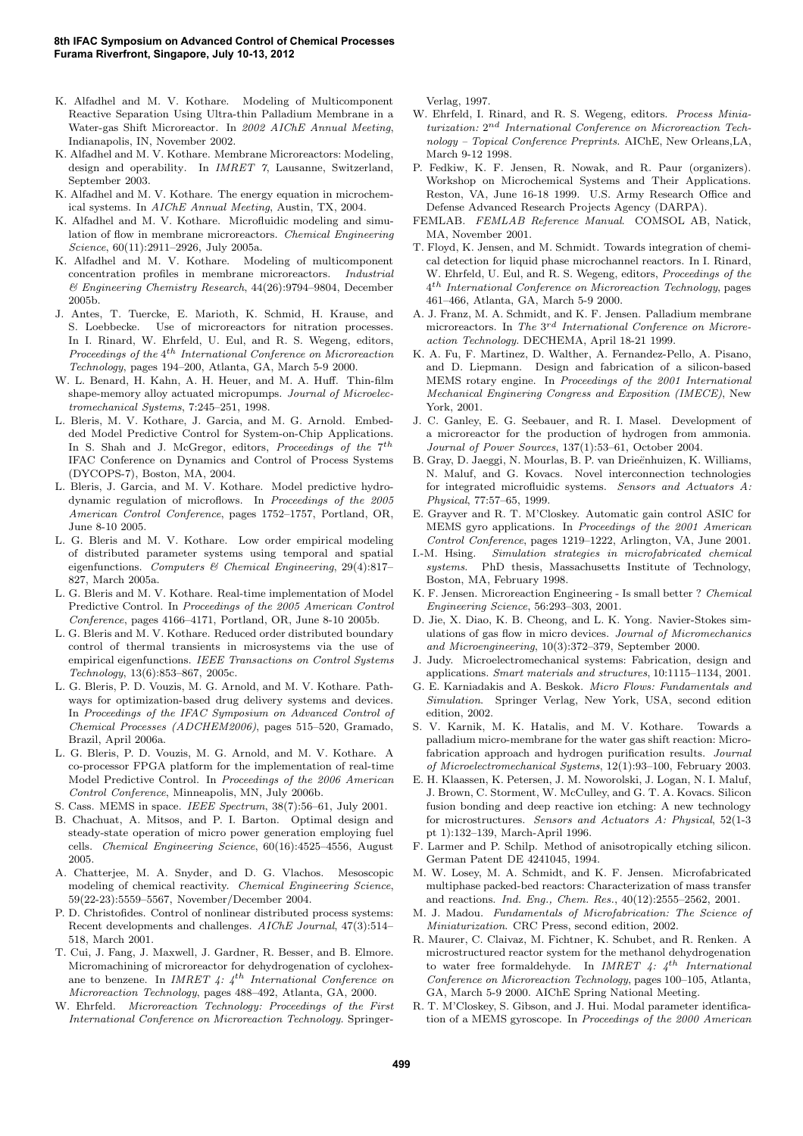- K. Alfadhel and M. V. Kothare. Modeling of Multicomponent Reactive Separation Using Ultra-thin Palladium Membrane in a Water-gas Shift Microreactor. In *2002 AIChE Annual Meeting*, Indianapolis, IN, November 2002.
- K. Alfadhel and M. V. Kothare. Membrane Microreactors: Modeling, design and operability. In *IMRET 7*, Lausanne, Switzerland, September 2003.
- K. Alfadhel and M. V. Kothare. The energy equation in microchemical systems. In *AIChE Annual Meeting*, Austin, TX, 2004.
- K. Alfadhel and M. V. Kothare. Microfluidic modeling and simulation of flow in membrane microreactors. *Chemical Engineering Science*, 60(11):2911–2926, July 2005a.
- K. Alfadhel and M. V. Kothare. Modeling of multicomponent concentration profiles in membrane microreactors. *Industrial & Engineering Chemistry Research*, 44(26):9794–9804, December 2005b.
- J. Antes, T. Tuercke, E. Marioth, K. Schmid, H. Krause, and S. Loebbecke. Use of microreactors for nitration processes. In I. Rinard, W. Ehrfeld, U. Eul, and R. S. Wegeng, editors, *Proceedings of the* 4 th *International Conference on Microreaction Technology*, pages 194–200, Atlanta, GA, March 5-9 2000.
- W. L. Benard, H. Kahn, A. H. Heuer, and M. A. Huff. Thin-film shape-memory alloy actuated micropumps. *Journal of Microelectromechanical Systems*, 7:245–251, 1998.
- L. Bleris, M. V. Kothare, J. Garcia, and M. G. Arnold. Embedded Model Predictive Control for System-on-Chip Applications. In S. Shah and J. McGregor, editors, *Proceedings of the* 7<sup>th</sup> IFAC Conference on Dynamics and Control of Process Systems (DYCOPS-7), Boston, MA, 2004.
- L. Bleris, J. Garcia, and M. V. Kothare. Model predictive hydrodynamic regulation of microflows. In *Proceedings of the 2005 American Control Conference*, pages 1752–1757, Portland, OR, June 8-10 2005.
- L. G. Bleris and M. V. Kothare. Low order empirical modeling of distributed parameter systems using temporal and spatial eigenfunctions. *Computers & Chemical Engineering*, 29(4):817– 827, March 2005a.
- L. G. Bleris and M. V. Kothare. Real-time implementation of Model Predictive Control. In *Proceedings of the 2005 American Control Conference*, pages 4166–4171, Portland, OR, June 8-10 2005b.
- L. G. Bleris and M. V. Kothare. Reduced order distributed boundary control of thermal transients in microsystems via the use of empirical eigenfunctions. *IEEE Transactions on Control Systems Technology*, 13(6):853–867, 2005c.
- L. G. Bleris, P. D. Vouzis, M. G. Arnold, and M. V. Kothare. Pathways for optimization-based drug delivery systems and devices. In *Proceedings of the IFAC Symposium on Advanced Control of Chemical Processes (ADCHEM2006)*, pages 515–520, Gramado, Brazil, April 2006a.
- L. G. Bleris, P. D. Vouzis, M. G. Arnold, and M. V. Kothare. A co-processor FPGA platform for the implementation of real-time Model Predictive Control. In *Proceedings of the 2006 American Control Conference*, Minneapolis, MN, July 2006b.
- S. Cass. MEMS in space. *IEEE Spectrum*, 38(7):56–61, July 2001.
- B. Chachuat, A. Mitsos, and P. I. Barton. Optimal design and steady-state operation of micro power generation employing fuel cells. *Chemical Engineering Science*, 60(16):4525–4556, August 2005.
- A. Chatterjee, M. A. Snyder, and D. G. Vlachos. Mesoscopic modeling of chemical reactivity. *Chemical Engineering Science*, 59(22-23):5559–5567, November/December 2004.
- P. D. Christofides. Control of nonlinear distributed process systems: Recent developments and challenges. *AIChE Journal*, 47(3):514– 518, March 2001.
- T. Cui, J. Fang, J. Maxwell, J. Gardner, R. Besser, and B. Elmore. Micromachining of microreactor for dehydrogenation of cyclohexane to benzene. In *IMRET 4: 4*th *International Conference on Microreaction Technology*, pages 488–492, Atlanta, GA, 2000.
- W. Ehrfeld. *Microreaction Technology: Proceedings of the First International Conference on Microreaction Technology*. Springer-

Verlag, 1997.

- W. Ehrfeld, I. Rinard, and R. S. Wegeng, editors. *Process Miniaturization:* 2 nd *International Conference on Microreaction Technology – Topical Conference Preprints*. AIChE, New Orleans,LA, March 9-12 1998.
- P. Fedkiw, K. F. Jensen, R. Nowak, and R. Paur (organizers). Workshop on Microchemical Systems and Their Applications. Reston, VA, June 16-18 1999. U.S. Army Research Office and Defense Advanced Research Projects Agency (DARPA).
- FEMLAB. *FEMLAB Reference Manual*. COMSOL AB, Natick, MA, November 2001.
- T. Floyd, K. Jensen, and M. Schmidt. Towards integration of chemical detection for liquid phase microchannel reactors. In I. Rinard, W. Ehrfeld, U. Eul, and R. S. Wegeng, editors, *Proceedings of the* 4 th *International Conference on Microreaction Technology*, pages 461–466, Atlanta, GA, March 5-9 2000.
- A. J. Franz, M. A. Schmidt, and K. F. Jensen. Palladium membrane microreactors. In *The* 3 rd *International Conference on Microreaction Technology*. DECHEMA, April 18-21 1999.
- K. A. Fu, F. Martinez, D. Walther, A. Fernandez-Pello, A. Pisano, and D. Liepmann. Design and fabrication of a silicon-based MEMS rotary engine. In *Proceedings of the 2001 International Mechanical Enginering Congress and Exposition (IMECE)*, New York, 2001.
- J. C. Ganley, E. G. Seebauer, and R. I. Masel. Development of a microreactor for the production of hydrogen from ammonia. *Journal of Power Sources*, 137(1):53–61, October 2004.
- B. Gray, D. Jaeggi, N. Mourlas, B. P. van Drieënhuizen, K. Williams, N. Maluf, and G. Kovacs. Novel interconnection technologies for integrated microfluidic systems. *Sensors and Actuators A: Physical*, 77:57–65, 1999.
- E. Grayver and R. T. M'Closkey. Automatic gain control ASIC for MEMS gyro applications. In *Proceedings of the 2001 American Control Conference*, pages 1219–1222, Arlington, VA, June 2001.
- I.-M. Hsing. *Simulation strategies in microfabricated chemical systems*. PhD thesis, Massachusetts Institute of Technology, Boston, MA, February 1998.
- K. F. Jensen. Microreaction Engineering Is small better ? *Chemical Engineering Science*, 56:293–303, 2001.
- D. Jie, X. Diao, K. B. Cheong, and L. K. Yong. Navier-Stokes simulations of gas flow in micro devices. *Journal of Micromechanics and Microengineering*, 10(3):372–379, September 2000.
- J. Judy. Microelectromechanical systems: Fabrication, design and applications. *Smart materials and structures*, 10:1115–1134, 2001.
- G. E. Karniadakis and A. Beskok. *Micro Flows: Fundamentals and Simulation*. Springer Verlag, New York, USA, second edition edition, 2002.
- S. V. Karnik, M. K. Hatalis, and M. V. Kothare. Towards a palladium micro-membrane for the water gas shift reaction: Microfabrication approach and hydrogen purification results. *Journal of Microelectromechanical Systems*, 12(1):93–100, February 2003.
- E. H. Klaassen, K. Petersen, J. M. Noworolski, J. Logan, N. I. Maluf, J. Brown, C. Storment, W. McCulley, and G. T. A. Kovacs. Silicon fusion bonding and deep reactive ion etching: A new technology for microstructures. *Sensors and Actuators A: Physical*, 52(1-3 pt 1):132–139, March-April 1996.
- F. Larmer and P. Schilp. Method of anisotropically etching silicon. German Patent DE 4241045, 1994.
- M. W. Losey, M. A. Schmidt, and K. F. Jensen. Microfabricated multiphase packed-bed reactors: Characterization of mass transfer and reactions. *Ind. Eng., Chem. Res.*, 40(12):2555–2562, 2001.
- M. J. Madou. *Fundamentals of Microfabrication: The Science of Miniaturization*. CRC Press, second edition, 2002.
- R. Maurer, C. Claivaz, M. Fichtner, K. Schubet, and R. Renken. A microstructured reactor system for the methanol dehydrogenation to water free formaldehyde. In *IMRET 4: 4*th *International Conference on Microreaction Technology*, pages 100–105, Atlanta, GA, March 5-9 2000. AIChE Spring National Meeting.
- R. T. M'Closkey, S. Gibson, and J. Hui. Modal parameter identification of a MEMS gyroscope. In *Proceedings of the 2000 American*